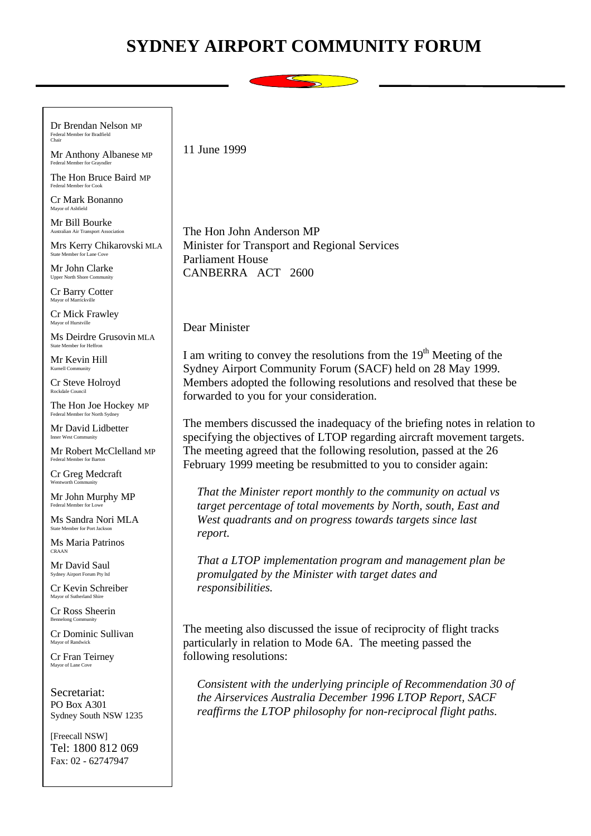## **SYDNEY AIRPORT COMMUNITY FORUM**



Dr Brendan Nelson MP Federal Member for Bradfield Chair

Mr Anthony Albanese MP Federal Member for Grayndler

The Hon Bruce Baird MP Federal Member for Cook

Cr Mark Bonanno Mayor of Ashfield

Mr Bill Bourke Australian Air Transport Association

Mrs Kerry Chikarovski MLA State Member for Lane Cove

Mr John Clarke Upper North Shore Comn

Cr Barry Cotter Mayor of Mar

Cr Mick Frawley Mayor of Hurstville

Ms Deirdre Grusovin MLA State Member for Heffron

Mr Kevin Hill Kurnell Community

Cr Steve Holroyd Rockdale Council

The Hon Joe Hockey MP Federal Member for North Sydney

Mr David Lidbetter Inner West Community

Mr Robert McClelland MP Federal Member for Barton

Cr Greg Medcraft Wentworth Community

Mr John Murphy MP Federal Member for Low

Ms Sandra Nori MLA ate Member for Port Jackson

Ms Maria Patrinos CRAAN

Mr David Saul Sydney Airport Forum Pty ltd

Cr Kevin Schreiber Mayor of Sutherland Shire

Cr Ross Sheerin Bennelong Community

Cr Dominic Sullivan Mayor of Randwick

Cr Fran Teirney Mayor of Lane Cove

Secretariat: PO Box A301 Sydney South NSW 1235

[Freecall NSW] Tel: 1800 812 069 Fax: 02 - 62747947

11 June 1999

The Hon John Anderson MP Minister for Transport and Regional Services Parliament House CANBERRA ACT 2600

Dear Minister

I am writing to convey the resolutions from the  $19<sup>th</sup>$  Meeting of the Sydney Airport Community Forum (SACF) held on 28 May 1999. Members adopted the following resolutions and resolved that these be forwarded to you for your consideration.

The members discussed the inadequacy of the briefing notes in relation to specifying the objectives of LTOP regarding aircraft movement targets. The meeting agreed that the following resolution, passed at the 26 February 1999 meeting be resubmitted to you to consider again:

*That the Minister report monthly to the community on actual vs target percentage of total movements by North, south, East and West quadrants and on progress towards targets since last report.*

*That a LTOP implementation program and management plan be promulgated by the Minister with target dates and responsibilities.*

The meeting also discussed the issue of reciprocity of flight tracks particularly in relation to Mode 6A. The meeting passed the following resolutions:

*Consistent with the underlying principle of Recommendation 30 of the Airservices Australia December 1996 LTOP Report, SACF reaffirms the LTOP philosophy for non-reciprocal flight paths.*